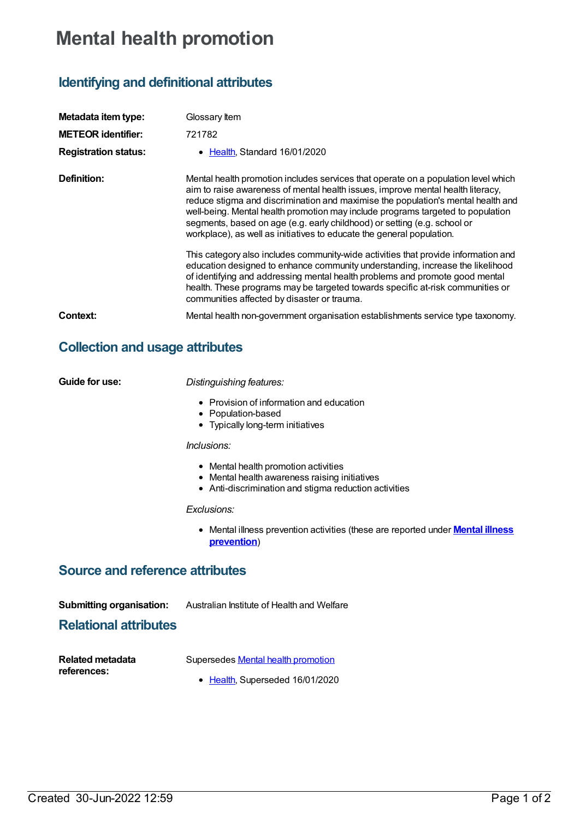## **Mental health promotion**

## **Identifying and definitional attributes**

| Metadata item type:         | Glossary Item                                                                                                                                                                                                                                                                                                                                                                                                                                                                                     |  |
|-----------------------------|---------------------------------------------------------------------------------------------------------------------------------------------------------------------------------------------------------------------------------------------------------------------------------------------------------------------------------------------------------------------------------------------------------------------------------------------------------------------------------------------------|--|
| <b>METEOR identifier:</b>   | 721782                                                                                                                                                                                                                                                                                                                                                                                                                                                                                            |  |
| <b>Registration status:</b> | • Health, Standard 16/01/2020                                                                                                                                                                                                                                                                                                                                                                                                                                                                     |  |
| Definition:                 | Mental health promotion includes services that operate on a population level which<br>aim to raise awareness of mental health issues, improve mental health literacy,<br>reduce stigma and discrimination and maximise the population's mental health and<br>well-being. Mental health promotion may include programs targeted to population<br>segments, based on age (e.g. early childhood) or setting (e.g. school or<br>workplace), as well as initiatives to educate the general population. |  |
|                             | This category also includes community-wide activities that provide information and<br>education designed to enhance community understanding, increase the likelihood<br>of identifying and addressing mental health problems and promote good mental<br>health. These programs may be targeted towards specific at-risk communities or<br>communities affected by disaster or trauma.                                                                                                             |  |
| Context:                    | Mental health non-government organisation establishments service type taxonomy.                                                                                                                                                                                                                                                                                                                                                                                                                   |  |

## **Collection and usage attributes**

| Guide for use:                                                  | Distinguishing features:<br>• Provision of information and education<br>• Population-based<br>• Typically long-term initiatives<br>Inclusions: |  |
|-----------------------------------------------------------------|------------------------------------------------------------------------------------------------------------------------------------------------|--|
|                                                                 |                                                                                                                                                |  |
|                                                                 | • Mental health promotion activities<br>• Mental health awareness raising initiatives<br>• Anti-discrimination and stigma reduction activities |  |
|                                                                 | Exclusions:                                                                                                                                    |  |
|                                                                 | • Mental illness prevention activities (these are reported under <b>Mental illness</b><br>prevention)                                          |  |
| <b>Source and reference attributes</b>                          |                                                                                                                                                |  |
| <b>Submitting organisation:</b><br><b>Relational attributes</b> | Australian Institute of Health and Welfare                                                                                                     |  |

| <b>Related metadata</b> | Supersedes Mental health promotion |
|-------------------------|------------------------------------|
| references:             |                                    |

• [Health](https://meteor.aihw.gov.au/RegistrationAuthority/12), Superseded 16/01/2020